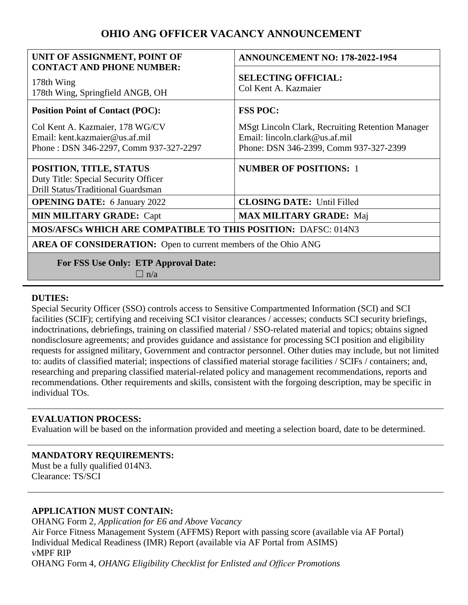# **OHIO ANG OFFICER VACANCY ANNOUNCEMENT**

| UNIT OF ASSIGNMENT, POINT OF<br><b>CONTACT AND PHONE NUMBER:</b>                                            | <b>ANNOUNCEMENT NO: 178-2022-1954</b>                                                                                        |
|-------------------------------------------------------------------------------------------------------------|------------------------------------------------------------------------------------------------------------------------------|
| 178th Wing<br>178th Wing, Springfield ANGB, OH                                                              | <b>SELECTING OFFICIAL:</b><br>Col Kent A. Kazmaier                                                                           |
| <b>Position Point of Contact (POC):</b>                                                                     | <b>FSS POC:</b>                                                                                                              |
| Col Kent A. Kazmaier, 178 WG/CV<br>Email: kent.kazmaier@us.af.mil<br>Phone: DSN 346-2297, Comm 937-327-2297 | MSgt Lincoln Clark, Recruiting Retention Manager<br>Email: lincoln.clark@us.af.mil<br>Phone: DSN 346-2399, Comm 937-327-2399 |
| POSITION, TITLE, STATUS<br>Duty Title: Special Security Officer<br>Drill Status/Traditional Guardsman       | <b>NUMBER OF POSITIONS: 1</b>                                                                                                |
| <b>OPENING DATE:</b> 6 January 2022                                                                         | <b>CLOSING DATE:</b> Until Filled                                                                                            |
| <b>MIN MILITARY GRADE: Capt</b>                                                                             | <b>MAX MILITARY GRADE: Maj</b>                                                                                               |
| <b>MOS/AFSCs WHICH ARE COMPATIBLE TO THIS POSITION: DAFSC: 014N3</b>                                        |                                                                                                                              |
| <b>AREA OF CONSIDERATION:</b> Open to current members of the Ohio ANG                                       |                                                                                                                              |
| <b>For FSS Use Only: ETP Approval Date:</b><br>$\Box$ n/a                                                   |                                                                                                                              |

# **DUTIES:**

Special Security Officer (SSO) controls access to Sensitive Compartmented Information (SCI) and SCI facilities (SCIF); certifying and receiving SCI visitor clearances / accesses; conducts SCI security briefings, indoctrinations, debriefings, training on classified material / SSO-related material and topics; obtains signed nondisclosure agreements; and provides guidance and assistance for processing SCI position and eligibility requests for assigned military, Government and contractor personnel. Other duties may include, but not limited to: audits of classified material; inspections of classified material storage facilities / SCIFs / containers; and, researching and preparing classified material-related policy and management recommendations, reports and recommendations. Other requirements and skills, consistent with the forgoing description, may be specific in individual TOs.

## **EVALUATION PROCESS:**

Evaluation will be based on the information provided and meeting a selection board, date to be determined.

# **MANDATORY REQUIREMENTS:**

Must be a fully qualified 014N3. Clearance: TS/SCI

# **APPLICATION MUST CONTAIN:**

OHANG Form 2, *Application for E6 and Above Vacancy*  Air Force Fitness Management System (AFFMS) Report with passing score (available via AF Portal) Individual Medical Readiness (IMR) Report (available via AF Portal from ASIMS) vMPF RIP OHANG Form 4, *OHANG Eligibility Checklist for Enlisted and Officer Promotions*